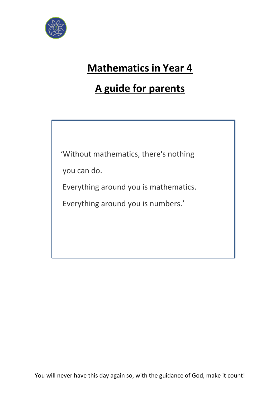

# **Mathematics in Year 4**

# **A guide for parents**

'Without mathematics, there's nothing

you can do.

Everything around you is mathematics.

Everything around you is numbers.'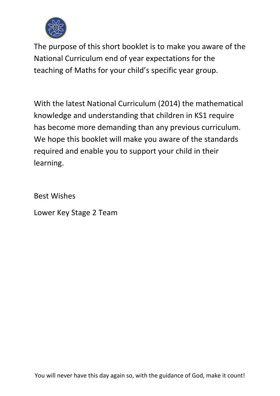

The purpose of this short booklet is to make you aware of the National Curriculum end of year expectations for the teaching of Maths for your child's specific year group.

With the latest National Curriculum (2014) the mathematical knowledge and understanding that children in KS1 require has become more demanding than any previous curriculum. We hope this booklet will make you aware of the standards required and enable you to support your child in their learning.

Best Wishes

Lower Key Stage 2 Team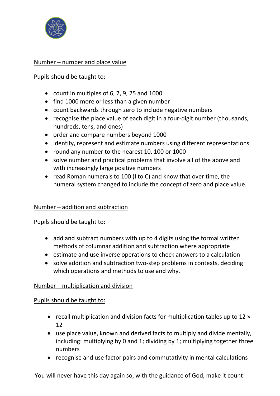

## Number – number and place value

#### Pupils should be taught to:

- count in multiples of 6, 7, 9, 25 and 1000
- find 1000 more or less than a given number
- count backwards through zero to include negative numbers
- recognise the place value of each digit in a four-digit number (thousands, hundreds, tens, and ones)
- order and compare numbers beyond 1000
- identify, represent and estimate numbers using different representations
- round any number to the nearest 10, 100 or 1000
- solve number and practical problems that involve all of the above and with increasingly large positive numbers
- read Roman numerals to 100 (I to C) and know that over time, the numeral system changed to include the concept of zero and place value.

### Number – addition and subtraction

### Pupils should be taught to:

- add and subtract numbers with up to 4 digits using the formal written methods of columnar addition and subtraction where appropriate
- estimate and use inverse operations to check answers to a calculation
- solve addition and subtraction two-step problems in contexts, deciding which operations and methods to use and why.

#### Number – multiplication and division

#### Pupils should be taught to:

- recall multiplication and division facts for multiplication tables up to 12  $\times$ 12
- use place value, known and derived facts to multiply and divide mentally, including: multiplying by 0 and 1; dividing by 1; multiplying together three numbers
- recognise and use factor pairs and commutativity in mental calculations

You will never have this day again so, with the guidance of God, make it count!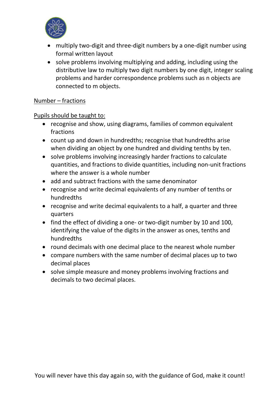

- multiply two-digit and three-digit numbers by a one-digit number using formal written layout
- solve problems involving multiplying and adding, including using the distributive law to multiply two digit numbers by one digit, integer scaling problems and harder correspondence problems such as n objects are connected to m objects.

# Number – fractions

# Pupils should be taught to:

- recognise and show, using diagrams, families of common equivalent fractions
- count up and down in hundredths; recognise that hundredths arise when dividing an object by one hundred and dividing tenths by ten.
- solve problems involving increasingly harder fractions to calculate quantities, and fractions to divide quantities, including non-unit fractions where the answer is a whole number
- add and subtract fractions with the same denominator
- recognise and write decimal equivalents of any number of tenths or hundredths
- recognise and write decimal equivalents to a half, a quarter and three quarters
- find the effect of dividing a one- or two-digit number by 10 and 100, identifying the value of the digits in the answer as ones, tenths and hundredths
- round decimals with one decimal place to the nearest whole number
- compare numbers with the same number of decimal places up to two decimal places
- solve simple measure and money problems involving fractions and decimals to two decimal places.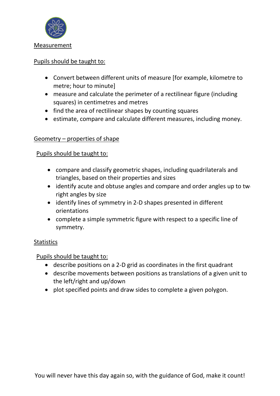

### Pupils should be taught to:

- Convert between different units of measure [for example, kilometre to metre; hour to minute]
- measure and calculate the perimeter of a rectilinear figure (including squares) in centimetres and metres
- find the area of rectilinear shapes by counting squares
- estimate, compare and calculate different measures, including money.

# Geometry – properties of shape

# Pupils should be taught to:

- compare and classify geometric shapes, including quadrilaterals and triangles, based on their properties and sizes
- $\bullet$  identify acute and obtuse angles and compare and order angles up to twe right angles by size
- identify lines of symmetry in 2-D shapes presented in different orientations
- complete a simple symmetric figure with respect to a specific line of symmetry.

### **Statistics**

# Pupils should be taught to:

- describe positions on a 2-D grid as coordinates in the first quadrant
- describe movements between positions as translations of a given unit to the left/right and up/down
- plot specified points and draw sides to complete a given polygon.